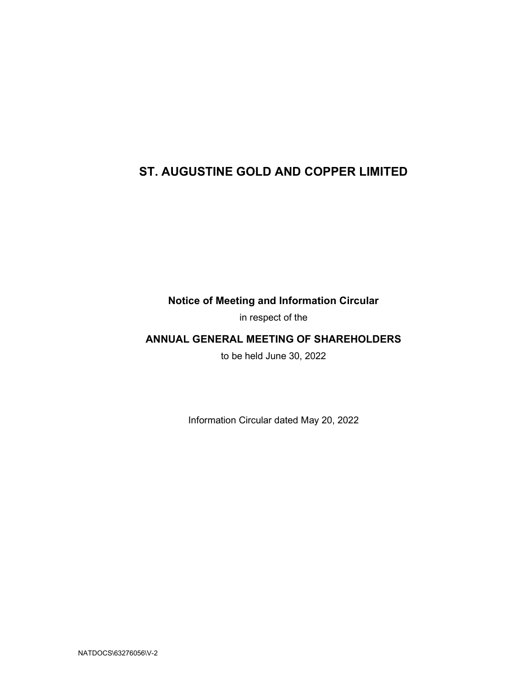# ST. AUGUSTINE GOLD AND COPPER LIMITED

Notice of Meeting and Information Circular

in respect of the

## ANNUAL GENERAL MEETING OF SHAREHOLDERS

to be held June 30, 2022

Information Circular dated May 20, 2022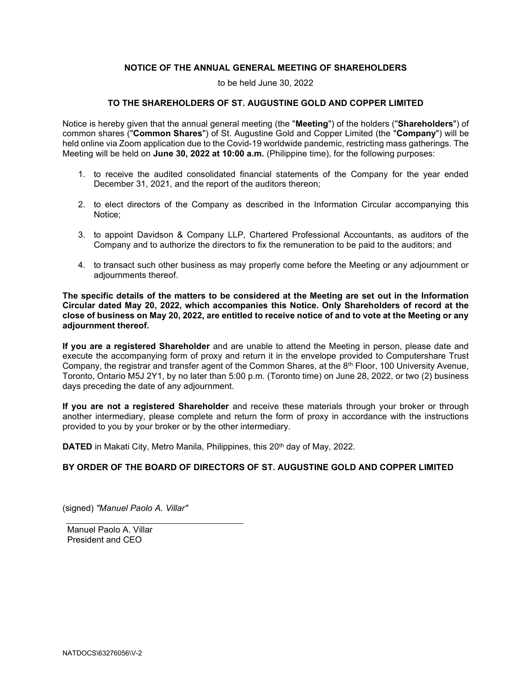## NOTICE OF THE ANNUAL GENERAL MEETING OF SHAREHOLDERS

to be held June 30, 2022

## TO THE SHAREHOLDERS OF ST. AUGUSTINE GOLD AND COPPER LIMITED

Notice is hereby given that the annual general meeting (the "Meeting") of the holders ("Shareholders") of common shares ("Common Shares") of St. Augustine Gold and Copper Limited (the "Company") will be held online via Zoom application due to the Covid-19 worldwide pandemic, restricting mass gatherings. The Meeting will be held on June 30, 2022 at 10:00 a.m. (Philippine time), for the following purposes:

- 1. to receive the audited consolidated financial statements of the Company for the year ended December 31, 2021, and the report of the auditors thereon;
- 2. to elect directors of the Company as described in the Information Circular accompanying this Notice;
- 3. to appoint Davidson & Company LLP, Chartered Professional Accountants, as auditors of the Company and to authorize the directors to fix the remuneration to be paid to the auditors; and
- 4. to transact such other business as may properly come before the Meeting or any adjournment or adjournments thereof.

The specific details of the matters to be considered at the Meeting are set out in the Information Circular dated May 20, 2022, which accompanies this Notice. Only Shareholders of record at the close of business on May 20, 2022, are entitled to receive notice of and to vote at the Meeting or any adjournment thereof.

If you are a registered Shareholder and are unable to attend the Meeting in person, please date and execute the accompanying form of proxy and return it in the envelope provided to Computershare Trust Company, the registrar and transfer agent of the Common Shares, at the 8th Floor, 100 University Avenue, Toronto, Ontario M5J 2Y1, by no later than 5:00 p.m. (Toronto time) on June 28, 2022, or two (2) business days preceding the date of any adjournment.

If you are not a registered Shareholder and receive these materials through your broker or through another intermediary, please complete and return the form of proxy in accordance with the instructions provided to you by your broker or by the other intermediary.

DATED in Makati City, Metro Manila, Philippines, this 20<sup>th</sup> day of May, 2022.

## BY ORDER OF THE BOARD OF DIRECTORS OF ST. AUGUSTINE GOLD AND COPPER LIMITED

(signed) "Manuel Paolo A. Villar"

Manuel Paolo A. Villar President and CEO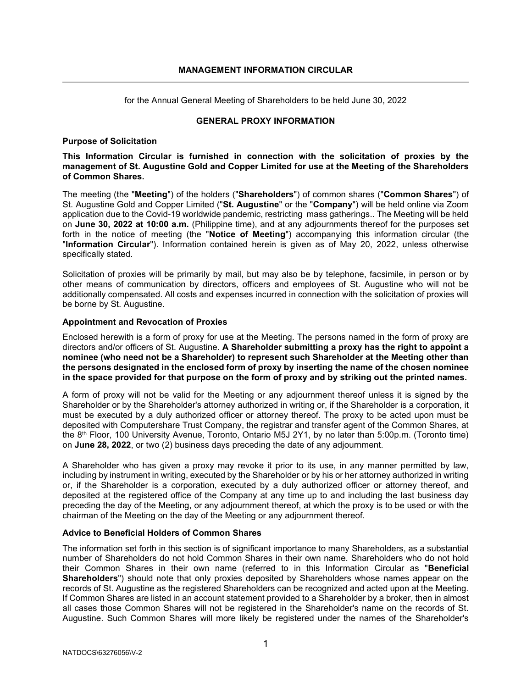for the Annual General Meeting of Shareholders to be held June 30, 2022

## GENERAL PROXY INFORMATION

## Purpose of Solicitation

This Information Circular is furnished in connection with the solicitation of proxies by the management of St. Augustine Gold and Copper Limited for use at the Meeting of the Shareholders of Common Shares.

The meeting (the "Meeting") of the holders ("Shareholders") of common shares ("Common Shares") of St. Augustine Gold and Copper Limited ("St. Augustine" or the "Company") will be held online via Zoom application due to the Covid-19 worldwide pandemic, restricting mass gatherings.. The Meeting will be held on June 30, 2022 at 10:00 a.m. (Philippine time), and at any adjournments thereof for the purposes set forth in the notice of meeting (the "Notice of Meeting") accompanying this information circular (the "Information Circular"). Information contained herein is given as of May 20, 2022, unless otherwise specifically stated.

Solicitation of proxies will be primarily by mail, but may also be by telephone, facsimile, in person or by other means of communication by directors, officers and employees of St. Augustine who will not be additionally compensated. All costs and expenses incurred in connection with the solicitation of proxies will be borne by St. Augustine.

## Appointment and Revocation of Proxies

Enclosed herewith is a form of proxy for use at the Meeting. The persons named in the form of proxy are directors and/or officers of St. Augustine. A Shareholder submitting a proxy has the right to appoint a nominee (who need not be a Shareholder) to represent such Shareholder at the Meeting other than the persons designated in the enclosed form of proxy by inserting the name of the chosen nominee in the space provided for that purpose on the form of proxy and by striking out the printed names.

A form of proxy will not be valid for the Meeting or any adjournment thereof unless it is signed by the Shareholder or by the Shareholder's attorney authorized in writing or, if the Shareholder is a corporation, it must be executed by a duly authorized officer or attorney thereof. The proxy to be acted upon must be deposited with Computershare Trust Company, the registrar and transfer agent of the Common Shares, at the 8<sup>th</sup> Floor, 100 University Avenue, Toronto, Ontario M5J 2Y1, by no later than 5:00p.m. (Toronto time) on June 28, 2022, or two (2) business days preceding the date of any adjournment.

A Shareholder who has given a proxy may revoke it prior to its use, in any manner permitted by law, including by instrument in writing, executed by the Shareholder or by his or her attorney authorized in writing or, if the Shareholder is a corporation, executed by a duly authorized officer or attorney thereof, and deposited at the registered office of the Company at any time up to and including the last business day preceding the day of the Meeting, or any adjournment thereof, at which the proxy is to be used or with the chairman of the Meeting on the day of the Meeting or any adjournment thereof.

## Advice to Beneficial Holders of Common Shares

The information set forth in this section is of significant importance to many Shareholders, as a substantial number of Shareholders do not hold Common Shares in their own name. Shareholders who do not hold their Common Shares in their own name (referred to in this Information Circular as "Beneficial Shareholders") should note that only proxies deposited by Shareholders whose names appear on the records of St. Augustine as the registered Shareholders can be recognized and acted upon at the Meeting. If Common Shares are listed in an account statement provided to a Shareholder by a broker, then in almost all cases those Common Shares will not be registered in the Shareholder's name on the records of St. Augustine. Such Common Shares will more likely be registered under the names of the Shareholder's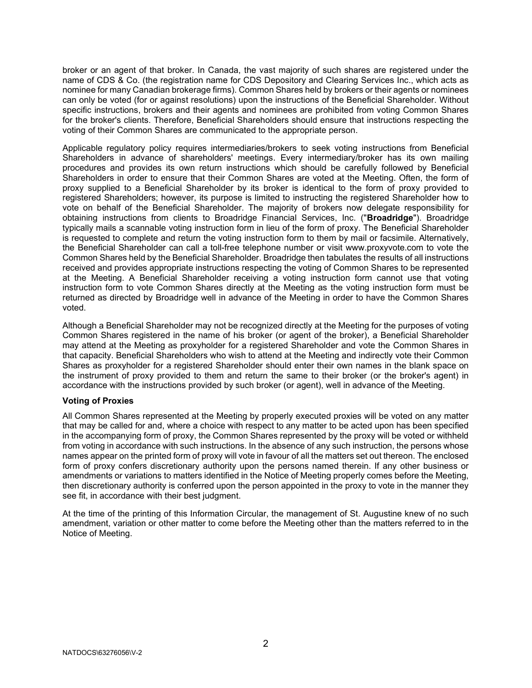broker or an agent of that broker. In Canada, the vast majority of such shares are registered under the name of CDS & Co. (the registration name for CDS Depository and Clearing Services Inc., which acts as nominee for many Canadian brokerage firms). Common Shares held by brokers or their agents or nominees can only be voted (for or against resolutions) upon the instructions of the Beneficial Shareholder. Without specific instructions, brokers and their agents and nominees are prohibited from voting Common Shares for the broker's clients. Therefore, Beneficial Shareholders should ensure that instructions respecting the voting of their Common Shares are communicated to the appropriate person.

Applicable regulatory policy requires intermediaries/brokers to seek voting instructions from Beneficial Shareholders in advance of shareholders' meetings. Every intermediary/broker has its own mailing procedures and provides its own return instructions which should be carefully followed by Beneficial Shareholders in order to ensure that their Common Shares are voted at the Meeting. Often, the form of proxy supplied to a Beneficial Shareholder by its broker is identical to the form of proxy provided to registered Shareholders; however, its purpose is limited to instructing the registered Shareholder how to vote on behalf of the Beneficial Shareholder. The majority of brokers now delegate responsibility for obtaining instructions from clients to Broadridge Financial Services, Inc. ("Broadridge"). Broadridge typically mails a scannable voting instruction form in lieu of the form of proxy. The Beneficial Shareholder is requested to complete and return the voting instruction form to them by mail or facsimile. Alternatively, the Beneficial Shareholder can call a toll-free telephone number or visit www.proxyvote.com to vote the Common Shares held by the Beneficial Shareholder. Broadridge then tabulates the results of all instructions received and provides appropriate instructions respecting the voting of Common Shares to be represented at the Meeting. A Beneficial Shareholder receiving a voting instruction form cannot use that voting instruction form to vote Common Shares directly at the Meeting as the voting instruction form must be returned as directed by Broadridge well in advance of the Meeting in order to have the Common Shares voted.

Although a Beneficial Shareholder may not be recognized directly at the Meeting for the purposes of voting Common Shares registered in the name of his broker (or agent of the broker), a Beneficial Shareholder may attend at the Meeting as proxyholder for a registered Shareholder and vote the Common Shares in that capacity. Beneficial Shareholders who wish to attend at the Meeting and indirectly vote their Common Shares as proxyholder for a registered Shareholder should enter their own names in the blank space on the instrument of proxy provided to them and return the same to their broker (or the broker's agent) in accordance with the instructions provided by such broker (or agent), well in advance of the Meeting.

#### Voting of Proxies

All Common Shares represented at the Meeting by properly executed proxies will be voted on any matter that may be called for and, where a choice with respect to any matter to be acted upon has been specified in the accompanying form of proxy, the Common Shares represented by the proxy will be voted or withheld from voting in accordance with such instructions. In the absence of any such instruction, the persons whose names appear on the printed form of proxy will vote in favour of all the matters set out thereon. The enclosed form of proxy confers discretionary authority upon the persons named therein. If any other business or amendments or variations to matters identified in the Notice of Meeting properly comes before the Meeting, then discretionary authority is conferred upon the person appointed in the proxy to vote in the manner they see fit, in accordance with their best judgment.

At the time of the printing of this Information Circular, the management of St. Augustine knew of no such amendment, variation or other matter to come before the Meeting other than the matters referred to in the Notice of Meeting.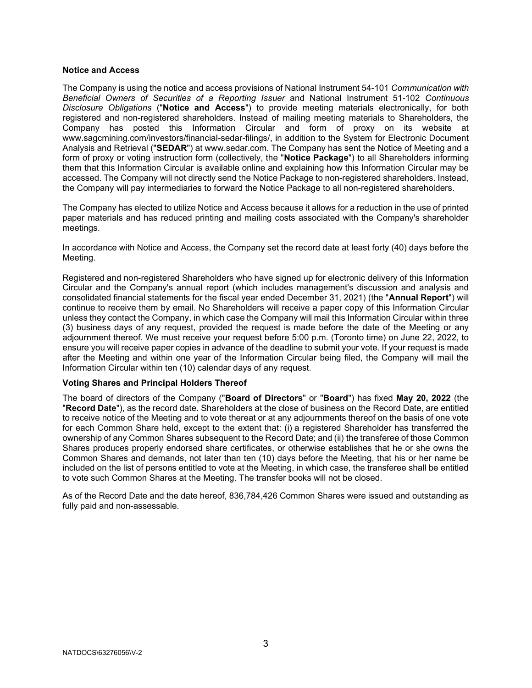#### Notice and Access

The Company is using the notice and access provisions of National Instrument 54-101 Communication with Beneficial Owners of Securities of a Reporting Issuer and National Instrument 51-102 Continuous Disclosure Obligations ("Notice and Access") to provide meeting materials electronically, for both registered and non-registered shareholders. Instead of mailing meeting materials to Shareholders, the Company has posted this Information Circular and form of proxy on its website at www.sagcmining.com/investors/financial-sedar-filings/, in addition to the System for Electronic Document Analysis and Retrieval ("SEDAR") at www.sedar.com. The Company has sent the Notice of Meeting and a form of proxy or voting instruction form (collectively, the "Notice Package") to all Shareholders informing them that this Information Circular is available online and explaining how this Information Circular may be accessed. The Company will not directly send the Notice Package to non-registered shareholders. Instead, the Company will pay intermediaries to forward the Notice Package to all non-registered shareholders.

The Company has elected to utilize Notice and Access because it allows for a reduction in the use of printed paper materials and has reduced printing and mailing costs associated with the Company's shareholder meetings.

In accordance with Notice and Access, the Company set the record date at least forty (40) days before the Meeting.

Registered and non-registered Shareholders who have signed up for electronic delivery of this Information Circular and the Company's annual report (which includes management's discussion and analysis and consolidated financial statements for the fiscal year ended December 31, 2021) (the "Annual Report") will continue to receive them by email. No Shareholders will receive a paper copy of this Information Circular unless they contact the Company, in which case the Company will mail this Information Circular within three (3) business days of any request, provided the request is made before the date of the Meeting or any adjournment thereof. We must receive your request before 5:00 p.m. (Toronto time) on June 22, 2022, to ensure you will receive paper copies in advance of the deadline to submit your vote. If your request is made after the Meeting and within one year of the Information Circular being filed, the Company will mail the Information Circular within ten (10) calendar days of any request.

## Voting Shares and Principal Holders Thereof

The board of directors of the Company ("Board of Directors" or "Board") has fixed May 20, 2022 (the "Record Date"), as the record date. Shareholders at the close of business on the Record Date, are entitled to receive notice of the Meeting and to vote thereat or at any adjournments thereof on the basis of one vote for each Common Share held, except to the extent that: (i) a registered Shareholder has transferred the ownership of any Common Shares subsequent to the Record Date; and (ii) the transferee of those Common Shares produces properly endorsed share certificates, or otherwise establishes that he or she owns the Common Shares and demands, not later than ten (10) days before the Meeting, that his or her name be included on the list of persons entitled to vote at the Meeting, in which case, the transferee shall be entitled to vote such Common Shares at the Meeting. The transfer books will not be closed.

As of the Record Date and the date hereof, 836,784,426 Common Shares were issued and outstanding as fully paid and non-assessable.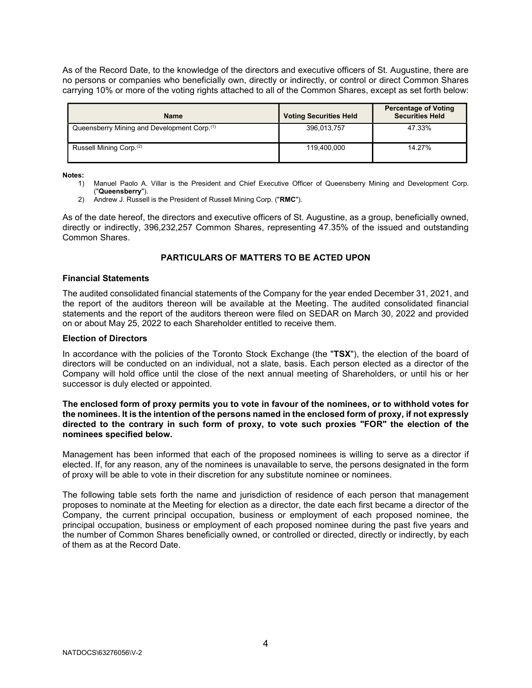As of the Record Date, to the knowledge of the directors and executive officers of St. Augustine, there are no persons or companies who beneficially own, directly or indirectly, or control or direct Common Shares carrying 10% or more of the voting rights attached to all of the Common Shares, except as set forth below:

| <b>Name</b>                                             | <b>Voting Securities Held</b> | <b>Percentage of Voting</b><br><b>Securities Held</b> |
|---------------------------------------------------------|-------------------------------|-------------------------------------------------------|
| Queensberry Mining and Development Corp. <sup>(1)</sup> | 396,013,757                   | 47.33%                                                |
| Russell Mining Corp. <sup>(2)</sup>                     | 119.400.000                   | 14.27%                                                |

Notes:

- 1) Manuel Paolo A. Villar is the President and Chief Executive Officer of Queensberry Mining and Development Corp. ("Queensberry").
- 2) Andrew J. Russell is the President of Russell Mining Corp. ("RMC").

As of the date hereof, the directors and executive officers of St. Augustine, as a group, beneficially owned, directly or indirectly, 396,232,257 Common Shares, representing 47.35% of the issued and outstanding Common Shares.

## PARTICULARS OF MATTERS TO BE ACTED UPON

#### Financial Statements

The audited consolidated financial statements of the Company for the year ended December 31, 2021, and the report of the auditors thereon will be available at the Meeting. The audited consolidated financial statements and the report of the auditors thereon were filed on SEDAR on March 30, 2022 and provided on or about May 25, 2022 to each Shareholder entitled to receive them.

#### Election of Directors

In accordance with the policies of the Toronto Stock Exchange (the "TSX"), the election of the board of directors will be conducted on an individual, not a slate, basis. Each person elected as a director of the Company will hold office until the close of the next annual meeting of Shareholders, or until his or her successor is duly elected or appointed.

### The enclosed form of proxy permits you to vote in favour of the nominees, or to withhold votes for the nominees. It is the intention of the persons named in the enclosed form of proxy, if not expressly directed to the contrary in such form of proxy, to vote such proxies "FOR" the election of the nominees specified below.

Management has been informed that each of the proposed nominees is willing to serve as a director if elected. If, for any reason, any of the nominees is unavailable to serve, the persons designated in the form of proxy will be able to vote in their discretion for any substitute nominee or nominees.

The following table sets forth the name and jurisdiction of residence of each person that management proposes to nominate at the Meeting for election as a director, the date each first became a director of the Company, the current principal occupation, business or employment of each proposed nominee, the principal occupation, business or employment of each proposed nominee during the past five years and the number of Common Shares beneficially owned, or controlled or directed, directly or indirectly, by each of them as at the Record Date.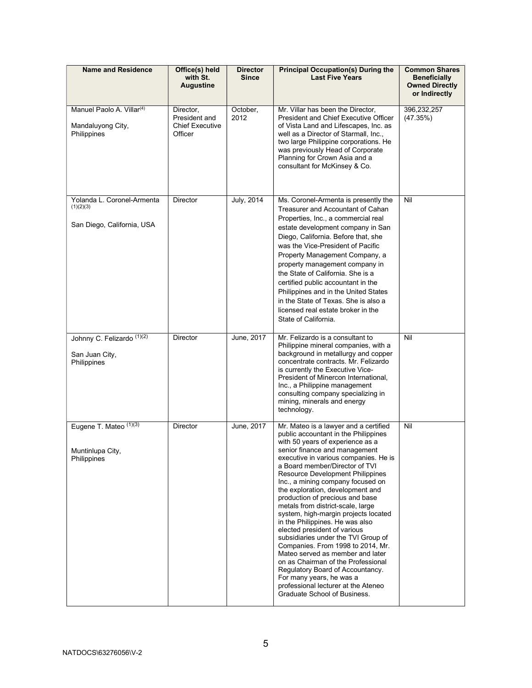| <b>Name and Residence</b>                                                 | Office(s) held<br>with St.<br><b>Augustine</b>                  | <b>Director</b><br><b>Since</b> | <b>Principal Occupation(s) During the</b><br><b>Last Five Years</b>                                                                                                                                                                                                                                                                                                                                                                                                                                                                                                                                                                                                                                                                                                                                                               | <b>Common Shares</b><br>Beneficially<br><b>Owned Directly</b><br>or Indirectly |
|---------------------------------------------------------------------------|-----------------------------------------------------------------|---------------------------------|-----------------------------------------------------------------------------------------------------------------------------------------------------------------------------------------------------------------------------------------------------------------------------------------------------------------------------------------------------------------------------------------------------------------------------------------------------------------------------------------------------------------------------------------------------------------------------------------------------------------------------------------------------------------------------------------------------------------------------------------------------------------------------------------------------------------------------------|--------------------------------------------------------------------------------|
| Manuel Paolo A. Villar <sup>(4)</sup><br>Mandaluyong City,<br>Philippines | Director,<br>President and<br><b>Chief Executive</b><br>Officer | October,<br>2012                | Mr. Villar has been the Director,<br><b>President and Chief Executive Officer</b><br>of Vista Land and Lifescapes, Inc. as<br>well as a Director of Starmall, Inc.,<br>two large Philippine corporations. He<br>was previously Head of Corporate<br>Planning for Crown Asia and a<br>consultant for McKinsey & Co.                                                                                                                                                                                                                                                                                                                                                                                                                                                                                                                | 396,232,257<br>(47.35%)                                                        |
| Yolanda L. Coronel-Armenta<br>(1)(2)(3)<br>San Diego, California, USA     | <b>Director</b>                                                 | July, 2014                      | Ms. Coronel-Armenta is presently the<br>Treasurer and Accountant of Cahan<br>Properties, Inc., a commercial real<br>estate development company in San<br>Diego, California. Before that, she<br>was the Vice-President of Pacific<br>Property Management Company, a<br>property management company in<br>the State of California. She is a<br>certified public accountant in the<br>Philippines and in the United States<br>in the State of Texas. She is also a<br>licensed real estate broker in the<br>State of California.                                                                                                                                                                                                                                                                                                    | Nil                                                                            |
| Johnny C. Felizardo (1)(2)<br>San Juan City,<br>Philippines               | <b>Director</b>                                                 | June, 2017                      | Mr. Felizardo is a consultant to<br>Philippine mineral companies, with a<br>background in metallurgy and copper<br>concentrate contracts. Mr. Felizardo<br>is currently the Executive Vice-<br>President of Minercon International,<br>Inc., a Philippine management<br>consulting company specializing in<br>mining, minerals and energy<br>technology.                                                                                                                                                                                                                                                                                                                                                                                                                                                                          | Nil                                                                            |
| Eugene T. Mateo (1)(3)<br>Muntinlupa City,<br>Philippines                 | Director                                                        | June, 2017                      | Mr. Mateo is a lawyer and a certified<br>public accountant in the Philippines<br>with 50 years of experience as a<br>senior finance and management<br>executive in various companies. He is<br>a Board member/Director of TVI<br><b>Resource Development Philippines</b><br>Inc., a mining company focused on<br>the exploration, development and<br>production of precious and base<br>metals from district-scale, large<br>system, high-margin projects located<br>in the Philippines. He was also<br>elected president of various<br>subsidiaries under the TVI Group of<br>Companies. From 1998 to 2014, Mr.<br>Mateo served as member and later<br>on as Chairman of the Professional<br>Regulatory Board of Accountancy.<br>For many years, he was a<br>professional lecturer at the Ateneo<br>Graduate School of Business. | Nil                                                                            |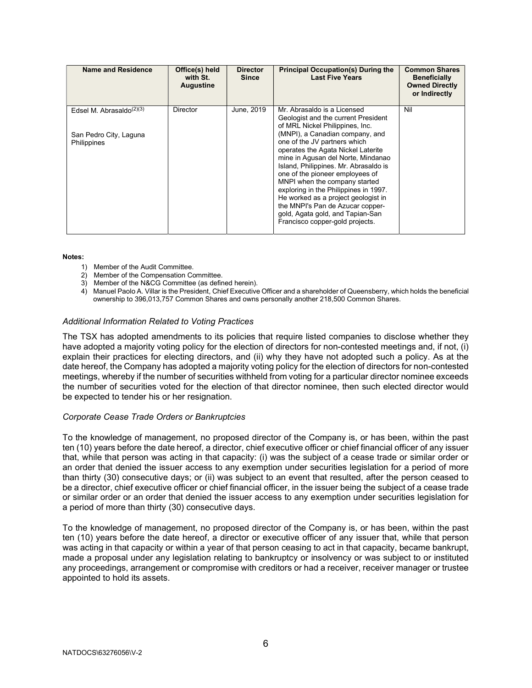| Name and Residence                                                          | Office(s) held<br>with St.<br><b>Augustine</b> | <b>Director</b><br><b>Since</b> | <b>Principal Occupation(s) During the</b><br><b>Last Five Years</b>                                                                                                                                                                                                                                                                                                                                                                                                                                                                                          | <b>Common Shares</b><br><b>Beneficially</b><br><b>Owned Directly</b><br>or Indirectly |
|-----------------------------------------------------------------------------|------------------------------------------------|---------------------------------|--------------------------------------------------------------------------------------------------------------------------------------------------------------------------------------------------------------------------------------------------------------------------------------------------------------------------------------------------------------------------------------------------------------------------------------------------------------------------------------------------------------------------------------------------------------|---------------------------------------------------------------------------------------|
| Edsel M. Abrasaldo $(2)(3)$<br>San Pedro City, Laguna<br><b>Philippines</b> | <b>Director</b>                                | June, 2019                      | Mr. Abrasaldo is a Licensed<br>Geologist and the current President<br>of MRL Nickel Philippines, Inc.<br>(MNPI), a Canadian company, and<br>one of the JV partners which<br>operates the Agata Nickel Laterite<br>mine in Agusan del Norte, Mindanao<br>Island, Philippines. Mr. Abrasaldo is<br>one of the pioneer employees of<br>MNPI when the company started<br>exploring in the Philippines in 1997.<br>He worked as a project geologist in<br>the MNPI's Pan de Azucar copper-<br>gold, Agata gold, and Tapian-San<br>Francisco copper-gold projects. | Nil                                                                                   |

#### Notes:

- 1) Member of the Audit Committee.
- 2) Member of the Compensation Committee.
- 3) Member of the N&CG Committee (as defined herein).
- 4) Manuel Paolo A. Villar is the President, Chief Executive Officer and a shareholder of Queensberry, which holds the beneficial ownership to 396,013,757 Common Shares and owns personally another 218,500 Common Shares.

#### Additional Information Related to Voting Practices

The TSX has adopted amendments to its policies that require listed companies to disclose whether they have adopted a majority voting policy for the election of directors for non-contested meetings and, if not, (i) explain their practices for electing directors, and (ii) why they have not adopted such a policy. As at the date hereof, the Company has adopted a majority voting policy for the election of directors for non-contested meetings, whereby if the number of securities withheld from voting for a particular director nominee exceeds the number of securities voted for the election of that director nominee, then such elected director would be expected to tender his or her resignation.

#### Corporate Cease Trade Orders or Bankruptcies

To the knowledge of management, no proposed director of the Company is, or has been, within the past ten (10) years before the date hereof, a director, chief executive officer or chief financial officer of any issuer that, while that person was acting in that capacity: (i) was the subject of a cease trade or similar order or an order that denied the issuer access to any exemption under securities legislation for a period of more than thirty (30) consecutive days; or (ii) was subject to an event that resulted, after the person ceased to be a director, chief executive officer or chief financial officer, in the issuer being the subject of a cease trade or similar order or an order that denied the issuer access to any exemption under securities legislation for a period of more than thirty (30) consecutive days.

To the knowledge of management, no proposed director of the Company is, or has been, within the past ten (10) years before the date hereof, a director or executive officer of any issuer that, while that person was acting in that capacity or within a year of that person ceasing to act in that capacity, became bankrupt, made a proposal under any legislation relating to bankruptcy or insolvency or was subject to or instituted any proceedings, arrangement or compromise with creditors or had a receiver, receiver manager or trustee appointed to hold its assets.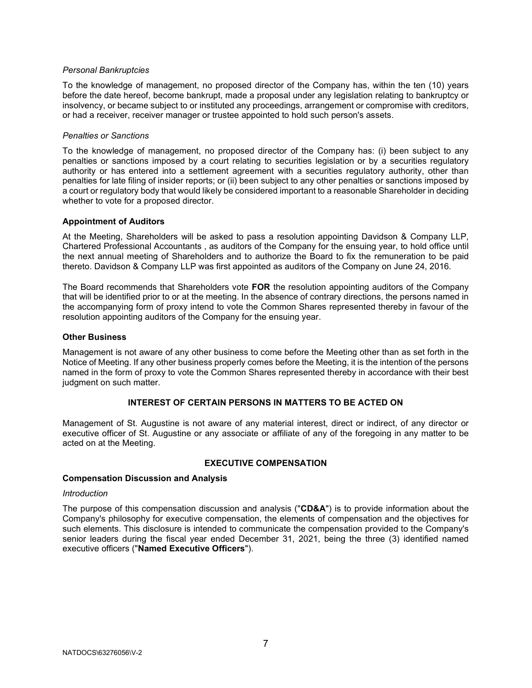### Personal Bankruptcies

To the knowledge of management, no proposed director of the Company has, within the ten (10) years before the date hereof, become bankrupt, made a proposal under any legislation relating to bankruptcy or insolvency, or became subject to or instituted any proceedings, arrangement or compromise with creditors, or had a receiver, receiver manager or trustee appointed to hold such person's assets.

#### Penalties or Sanctions

To the knowledge of management, no proposed director of the Company has: (i) been subject to any penalties or sanctions imposed by a court relating to securities legislation or by a securities regulatory authority or has entered into a settlement agreement with a securities regulatory authority, other than penalties for late filing of insider reports; or (ii) been subject to any other penalties or sanctions imposed by a court or regulatory body that would likely be considered important to a reasonable Shareholder in deciding whether to vote for a proposed director.

#### Appointment of Auditors

At the Meeting, Shareholders will be asked to pass a resolution appointing Davidson & Company LLP, Chartered Professional Accountants , as auditors of the Company for the ensuing year, to hold office until the next annual meeting of Shareholders and to authorize the Board to fix the remuneration to be paid thereto. Davidson & Company LLP was first appointed as auditors of the Company on June 24, 2016.

The Board recommends that Shareholders vote FOR the resolution appointing auditors of the Company that will be identified prior to or at the meeting. In the absence of contrary directions, the persons named in the accompanying form of proxy intend to vote the Common Shares represented thereby in favour of the resolution appointing auditors of the Company for the ensuing year.

#### Other Business

Management is not aware of any other business to come before the Meeting other than as set forth in the Notice of Meeting. If any other business properly comes before the Meeting, it is the intention of the persons named in the form of proxy to vote the Common Shares represented thereby in accordance with their best judgment on such matter.

## INTEREST OF CERTAIN PERSONS IN MATTERS TO BE ACTED ON

Management of St. Augustine is not aware of any material interest, direct or indirect, of any director or executive officer of St. Augustine or any associate or affiliate of any of the foregoing in any matter to be acted on at the Meeting.

## EXECUTIVE COMPENSATION

#### Compensation Discussion and Analysis

#### **Introduction**

The purpose of this compensation discussion and analysis ("CD&A") is to provide information about the Company's philosophy for executive compensation, the elements of compensation and the objectives for such elements. This disclosure is intended to communicate the compensation provided to the Company's senior leaders during the fiscal year ended December 31, 2021, being the three (3) identified named executive officers ("Named Executive Officers").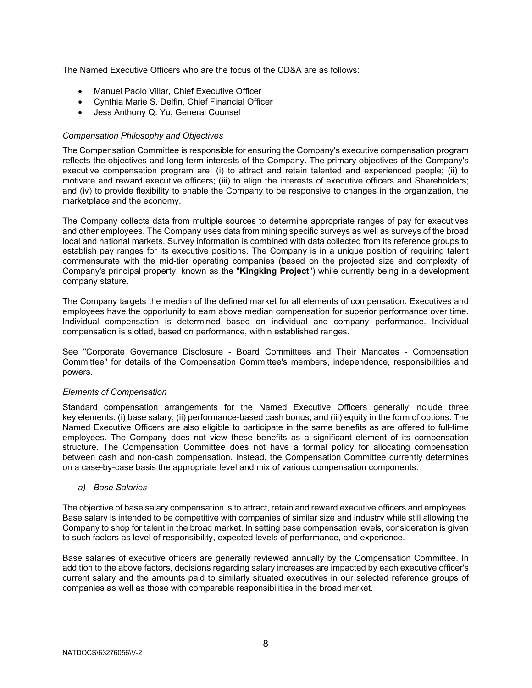The Named Executive Officers who are the focus of the CD&A are as follows:

- Manuel Paolo Villar, Chief Executive Officer
- Cynthia Marie S. Delfin, Chief Financial Officer
- Jess Anthony Q. Yu, General Counsel

## Compensation Philosophy and Objectives

The Compensation Committee is responsible for ensuring the Company's executive compensation program reflects the objectives and long-term interests of the Company. The primary objectives of the Company's executive compensation program are: (i) to attract and retain talented and experienced people; (ii) to motivate and reward executive officers; (iii) to align the interests of executive officers and Shareholders; and (iv) to provide flexibility to enable the Company to be responsive to changes in the organization, the marketplace and the economy.

The Company collects data from multiple sources to determine appropriate ranges of pay for executives and other employees. The Company uses data from mining specific surveys as well as surveys of the broad local and national markets. Survey information is combined with data collected from its reference groups to establish pay ranges for its executive positions. The Company is in a unique position of requiring talent commensurate with the mid-tier operating companies (based on the projected size and complexity of Company's principal property, known as the "Kingking Project") while currently being in a development company stature.

The Company targets the median of the defined market for all elements of compensation. Executives and employees have the opportunity to earn above median compensation for superior performance over time. Individual compensation is determined based on individual and company performance. Individual compensation is slotted, based on performance, within established ranges.

See "Corporate Governance Disclosure - Board Committees and Their Mandates - Compensation Committee" for details of the Compensation Committee's members, independence, responsibilities and powers.

## Elements of Compensation

Standard compensation arrangements for the Named Executive Officers generally include three key elements: (i) base salary; (ii) performance-based cash bonus; and (iii) equity in the form of options. The Named Executive Officers are also eligible to participate in the same benefits as are offered to full-time employees. The Company does not view these benefits as a significant element of its compensation structure. The Compensation Committee does not have a formal policy for allocating compensation between cash and non-cash compensation. Instead, the Compensation Committee currently determines on a case-by-case basis the appropriate level and mix of various compensation components.

## a) Base Salaries

The objective of base salary compensation is to attract, retain and reward executive officers and employees. Base salary is intended to be competitive with companies of similar size and industry while still allowing the Company to shop for talent in the broad market. In setting base compensation levels, consideration is given to such factors as level of responsibility, expected levels of performance, and experience.

Base salaries of executive officers are generally reviewed annually by the Compensation Committee. In addition to the above factors, decisions regarding salary increases are impacted by each executive officer's current salary and the amounts paid to similarly situated executives in our selected reference groups of companies as well as those with comparable responsibilities in the broad market.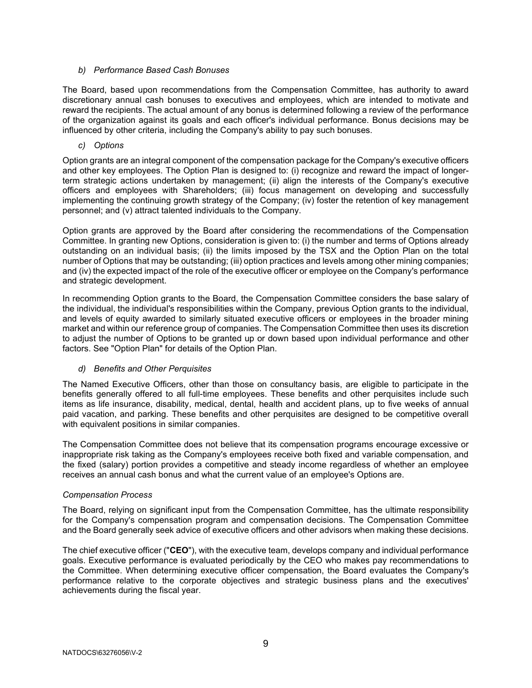## b) Performance Based Cash Bonuses

The Board, based upon recommendations from the Compensation Committee, has authority to award discretionary annual cash bonuses to executives and employees, which are intended to motivate and reward the recipients. The actual amount of any bonus is determined following a review of the performance of the organization against its goals and each officer's individual performance. Bonus decisions may be influenced by other criteria, including the Company's ability to pay such bonuses.

## c) Options

Option grants are an integral component of the compensation package for the Company's executive officers and other key employees. The Option Plan is designed to: (i) recognize and reward the impact of longerterm strategic actions undertaken by management; (ii) align the interests of the Company's executive officers and employees with Shareholders; (iii) focus management on developing and successfully implementing the continuing growth strategy of the Company; (iv) foster the retention of key management personnel; and (v) attract talented individuals to the Company.

Option grants are approved by the Board after considering the recommendations of the Compensation Committee. In granting new Options, consideration is given to: (i) the number and terms of Options already outstanding on an individual basis; (ii) the limits imposed by the TSX and the Option Plan on the total number of Options that may be outstanding; (iii) option practices and levels among other mining companies; and (iv) the expected impact of the role of the executive officer or employee on the Company's performance and strategic development.

In recommending Option grants to the Board, the Compensation Committee considers the base salary of the individual, the individual's responsibilities within the Company, previous Option grants to the individual, and levels of equity awarded to similarly situated executive officers or employees in the broader mining market and within our reference group of companies. The Compensation Committee then uses its discretion to adjust the number of Options to be granted up or down based upon individual performance and other factors. See "Option Plan" for details of the Option Plan.

## d) Benefits and Other Perquisites

The Named Executive Officers, other than those on consultancy basis, are eligible to participate in the benefits generally offered to all full-time employees. These benefits and other perquisites include such items as life insurance, disability, medical, dental, health and accident plans, up to five weeks of annual paid vacation, and parking. These benefits and other perquisites are designed to be competitive overall with equivalent positions in similar companies.

The Compensation Committee does not believe that its compensation programs encourage excessive or inappropriate risk taking as the Company's employees receive both fixed and variable compensation, and the fixed (salary) portion provides a competitive and steady income regardless of whether an employee receives an annual cash bonus and what the current value of an employee's Options are.

## Compensation Process

The Board, relying on significant input from the Compensation Committee, has the ultimate responsibility for the Company's compensation program and compensation decisions. The Compensation Committee and the Board generally seek advice of executive officers and other advisors when making these decisions.

The chief executive officer ("CEO"), with the executive team, develops company and individual performance goals. Executive performance is evaluated periodically by the CEO who makes pay recommendations to the Committee. When determining executive officer compensation, the Board evaluates the Company's performance relative to the corporate objectives and strategic business plans and the executives' achievements during the fiscal year.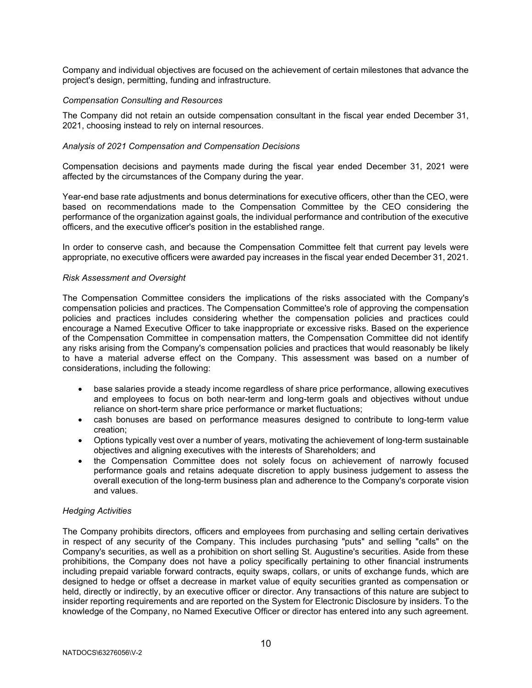Company and individual objectives are focused on the achievement of certain milestones that advance the project's design, permitting, funding and infrastructure.

#### Compensation Consulting and Resources

The Company did not retain an outside compensation consultant in the fiscal year ended December 31, 2021, choosing instead to rely on internal resources.

### Analysis of 2021 Compensation and Compensation Decisions

Compensation decisions and payments made during the fiscal year ended December 31, 2021 were affected by the circumstances of the Company during the year.

Year-end base rate adjustments and bonus determinations for executive officers, other than the CEO, were based on recommendations made to the Compensation Committee by the CEO considering the performance of the organization against goals, the individual performance and contribution of the executive officers, and the executive officer's position in the established range.

In order to conserve cash, and because the Compensation Committee felt that current pay levels were appropriate, no executive officers were awarded pay increases in the fiscal year ended December 31, 2021.

#### Risk Assessment and Oversight

The Compensation Committee considers the implications of the risks associated with the Company's compensation policies and practices. The Compensation Committee's role of approving the compensation policies and practices includes considering whether the compensation policies and practices could encourage a Named Executive Officer to take inappropriate or excessive risks. Based on the experience of the Compensation Committee in compensation matters, the Compensation Committee did not identify any risks arising from the Company's compensation policies and practices that would reasonably be likely to have a material adverse effect on the Company. This assessment was based on a number of considerations, including the following:

- base salaries provide a steady income regardless of share price performance, allowing executives and employees to focus on both near-term and long-term goals and objectives without undue reliance on short-term share price performance or market fluctuations;
- cash bonuses are based on performance measures designed to contribute to long-term value creation;
- Options typically vest over a number of years, motivating the achievement of long-term sustainable objectives and aligning executives with the interests of Shareholders; and
- the Compensation Committee does not solely focus on achievement of narrowly focused performance goals and retains adequate discretion to apply business judgement to assess the overall execution of the long-term business plan and adherence to the Company's corporate vision and values.

#### Hedging Activities

The Company prohibits directors, officers and employees from purchasing and selling certain derivatives in respect of any security of the Company. This includes purchasing "puts" and selling "calls" on the Company's securities, as well as a prohibition on short selling St. Augustine's securities. Aside from these prohibitions, the Company does not have a policy specifically pertaining to other financial instruments including prepaid variable forward contracts, equity swaps, collars, or units of exchange funds, which are designed to hedge or offset a decrease in market value of equity securities granted as compensation or held, directly or indirectly, by an executive officer or director. Any transactions of this nature are subject to insider reporting requirements and are reported on the System for Electronic Disclosure by insiders. To the knowledge of the Company, no Named Executive Officer or director has entered into any such agreement.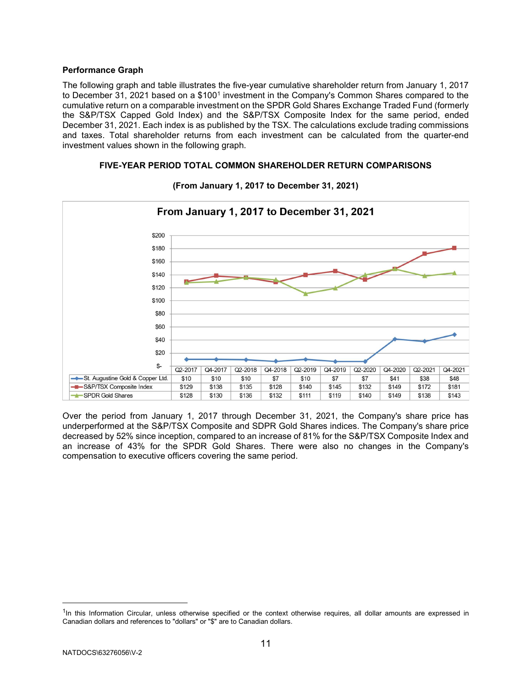## Performance Graph

The following graph and table illustrates the five-year cumulative shareholder return from January 1, 2017 to December 31, 2021 based on a \$100<sup>1</sup> investment in the Company's Common Shares compared to the cumulative return on a comparable investment on the SPDR Gold Shares Exchange Traded Fund (formerly the S&P/TSX Capped Gold Index) and the S&P/TSX Composite Index for the same period, ended December 31, 2021. Each index is as published by the TSX. The calculations exclude trading commissions and taxes. Total shareholder returns from each investment can be calculated from the quarter-end investment values shown in the following graph.

## FIVE-YEAR PERIOD TOTAL COMMON SHAREHOLDER RETURN COMPARISONS



## (From January 1, 2017 to December 31, 2021)

Over the period from January 1, 2017 through December 31, 2021, the Company's share price has underperformed at the S&P/TSX Composite and SDPR Gold Shares indices. The Company's share price decreased by 52% since inception, compared to an increase of 81% for the S&P/TSX Composite Index and an increase of 43% for the SPDR Gold Shares. There were also no changes in the Company's compensation to executive officers covering the same period.

<sup>&</sup>lt;sup>1</sup>In this Information Circular, unless otherwise specified or the context otherwise requires, all dollar amounts are expressed in Canadian dollars and references to "dollars" or "\$" are to Canadian dollars.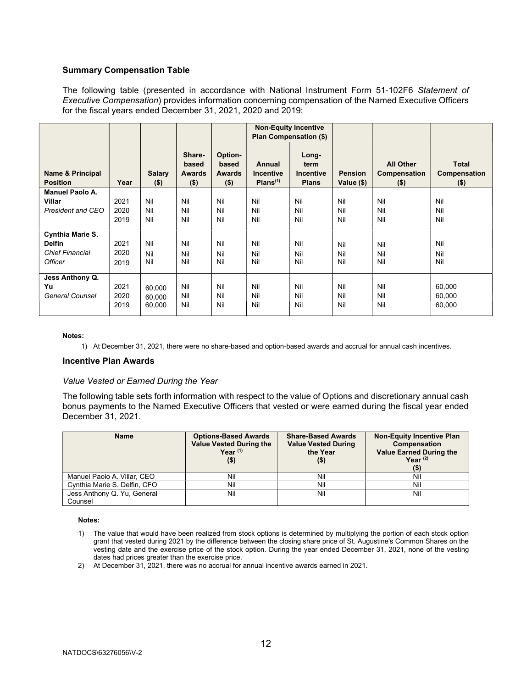## Summary Compensation Table

The following table (presented in accordance with National Instrument Form 51-102F6 Statement of Executive Compensation) provides information concerning compensation of the Named Executive Officers for the fiscal years ended December 31, 2021, 2020 and 2019:

|                                                 |                      |                            |                                             |                                              | <b>Non-Equity Incentive</b>                        | Plan Compensation (\$)                            |                              |                                             |                                         |
|-------------------------------------------------|----------------------|----------------------------|---------------------------------------------|----------------------------------------------|----------------------------------------------------|---------------------------------------------------|------------------------------|---------------------------------------------|-----------------------------------------|
| Name & Principal<br><b>Position</b>             | Year                 | <b>Salary</b><br>$($ \$)   | Share-<br>based<br><b>Awards</b><br>$($ \$) | Option-<br>based<br><b>Awards</b><br>$($ \$) | Annual<br><b>Incentive</b><br>Plans <sup>(1)</sup> | Long-<br>term<br><b>Incentive</b><br><b>Plans</b> | <b>Pension</b><br>Value (\$) | <b>All Other</b><br>Compensation<br>$($ \$) | <b>Total</b><br>Compensation<br>$($ \$) |
| <b>Manuel Paolo A.</b>                          |                      |                            |                                             |                                              |                                                    |                                                   |                              |                                             |                                         |
| Villar                                          | 2021                 | Nil                        | Nil                                         | Nil                                          | Nil                                                | Nil                                               | Nil                          | Nil                                         | Nil                                     |
| President and CEO                               | 2020                 | Nil                        | Nil                                         | Nil                                          | Nil                                                | Nil                                               | Nil                          | Nil                                         | Nil                                     |
|                                                 | 2019                 | Nil                        | Nil                                         | Nil                                          | Nil                                                | Nil                                               | Nil                          | Nil                                         | Nil                                     |
| Cynthia Marie S.                                |                      |                            |                                             |                                              |                                                    |                                                   |                              |                                             |                                         |
| <b>Delfin</b>                                   | 2021                 | Nil                        | Nil                                         | Nil                                          | Nil                                                | Nil                                               | Nil                          | Nil                                         | Nil                                     |
| <b>Chief Financial</b>                          | 2020                 | Nil                        | Nil                                         | Nil                                          | Nil                                                | Nil                                               | Nil                          | Nil                                         | Nil                                     |
| <b>Officer</b>                                  | 2019                 | Nil                        | Nil                                         | Nil                                          | Nil                                                | Nil                                               | Nil                          | Nil                                         | Nil                                     |
| Jess Anthony Q.<br>Yu<br><b>General Counsel</b> | 2021<br>2020<br>2019 | 60,000<br>60,000<br>60,000 | Nil<br>Nil<br>Nil                           | Nil<br>Nil<br>Nil                            | Nil<br>Nil<br>Nil                                  | Nil<br>Nil<br>Nil                                 | Nil<br>Nil<br>Nil            | Nil<br>Nil<br>Nil                           | 60,000<br>60,000<br>60,000              |

#### Notes:

1) At December 31, 2021, there were no share-based and option-based awards and accrual for annual cash incentives.

#### Incentive Plan Awards

#### Value Vested or Earned During the Year

The following table sets forth information with respect to the value of Options and discretionary annual cash bonus payments to the Named Executive Officers that vested or were earned during the fiscal year ended December 31, 2021.

| <b>Name</b>                            | <b>Options-Based Awards</b><br><b>Value Vested During the</b><br>Year $(1)$<br>$($ \$) | <b>Share-Based Awards</b><br><b>Value Vested During</b><br>the Year<br>$($ \$) | <b>Non-Equity Incentive Plan</b><br><b>Compensation</b><br><b>Value Earned During the</b><br>Year $(2)$ |
|----------------------------------------|----------------------------------------------------------------------------------------|--------------------------------------------------------------------------------|---------------------------------------------------------------------------------------------------------|
| Manuel Paolo A. Villar, CEO            | Nil                                                                                    | Nil                                                                            | Nil                                                                                                     |
| Cynthia Marie S. Delfin, CFO           | Nil                                                                                    | Nil                                                                            | Nil                                                                                                     |
| Jess Anthony Q. Yu, General<br>Counsel | Nil                                                                                    | Nil                                                                            | Nil                                                                                                     |

#### Notes:

- 1) The value that would have been realized from stock options is determined by multiplying the portion of each stock option grant that vested during 2021 by the difference between the closing share price of St. Augustine's Common Shares on the vesting date and the exercise price of the stock option. During the year ended December 31, 2021, none of the vesting dates had prices greater than the exercise price.
- 2) At December 31, 2021, there was no accrual for annual incentive awards earned in 2021.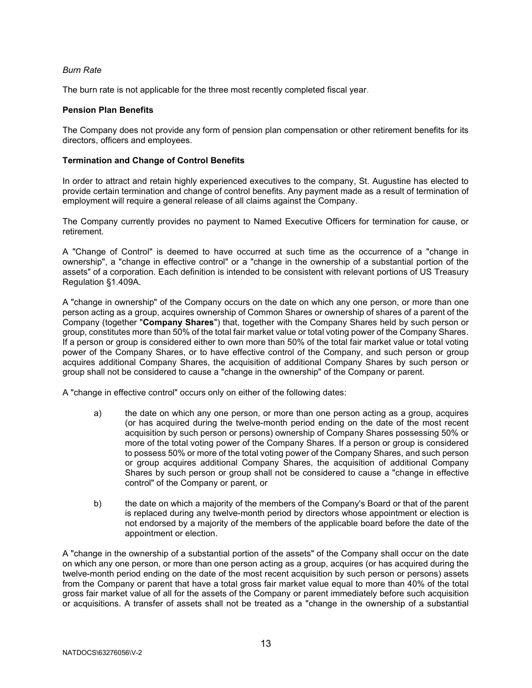## Burn Rate

The burn rate is not applicable for the three most recently completed fiscal year.

## Pension Plan Benefits

The Company does not provide any form of pension plan compensation or other retirement benefits for its directors, officers and employees.

### Termination and Change of Control Benefits

In order to attract and retain highly experienced executives to the company, St. Augustine has elected to provide certain termination and change of control benefits. Any payment made as a result of termination of employment will require a general release of all claims against the Company.

The Company currently provides no payment to Named Executive Officers for termination for cause, or retirement.

A "Change of Control" is deemed to have occurred at such time as the occurrence of a "change in ownership", a "change in effective control" or a "change in the ownership of a substantial portion of the assets" of a corporation. Each definition is intended to be consistent with relevant portions of US Treasury Regulation §1.409A.

A "change in ownership" of the Company occurs on the date on which any one person, or more than one person acting as a group, acquires ownership of Common Shares or ownership of shares of a parent of the Company (together "Company Shares") that, together with the Company Shares held by such person or group, constitutes more than 50% of the total fair market value or total voting power of the Company Shares. If a person or group is considered either to own more than 50% of the total fair market value or total voting power of the Company Shares, or to have effective control of the Company, and such person or group acquires additional Company Shares, the acquisition of additional Company Shares by such person or group shall not be considered to cause a "change in the ownership" of the Company or parent.

A "change in effective control" occurs only on either of the following dates:

- a) the date on which any one person, or more than one person acting as a group, acquires (or has acquired during the twelve-month period ending on the date of the most recent acquisition by such person or persons) ownership of Company Shares possessing 50% or more of the total voting power of the Company Shares. If a person or group is considered to possess 50% or more of the total voting power of the Company Shares, and such person or group acquires additional Company Shares, the acquisition of additional Company Shares by such person or group shall not be considered to cause a "change in effective control" of the Company or parent, or
- b) the date on which a majority of the members of the Company's Board or that of the parent is replaced during any twelve-month period by directors whose appointment or election is not endorsed by a majority of the members of the applicable board before the date of the appointment or election.

A "change in the ownership of a substantial portion of the assets" of the Company shall occur on the date on which any one person, or more than one person acting as a group, acquires (or has acquired during the twelve-month period ending on the date of the most recent acquisition by such person or persons) assets from the Company or parent that have a total gross fair market value equal to more than 40% of the total gross fair market value of all for the assets of the Company or parent immediately before such acquisition or acquisitions. A transfer of assets shall not be treated as a "change in the ownership of a substantial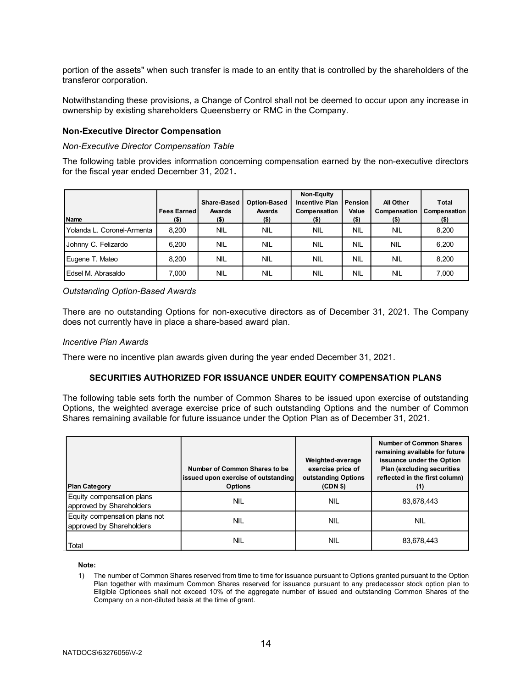#### Non-Executive Director Compensation

#### Non-Executive Director Compensation Table

| portion of the assets" when such transfer is made to an entity that is controlled by the shareholders of the<br>transferor corporation.                                                      |                               |                              |                        |                                                                |                               |                                      |                       |
|----------------------------------------------------------------------------------------------------------------------------------------------------------------------------------------------|-------------------------------|------------------------------|------------------------|----------------------------------------------------------------|-------------------------------|--------------------------------------|-----------------------|
| Notwithstanding these provisions, a Change of Control shall not be deemed to occur upon any increase in<br>ownership by existing shareholders Queensberry or RMC in the Company.             |                               |                              |                        |                                                                |                               |                                      |                       |
| <b>Non-Executive Director Compensation</b>                                                                                                                                                   |                               |                              |                        |                                                                |                               |                                      |                       |
| <b>Non-Executive Director Compensation Table</b>                                                                                                                                             |                               |                              |                        |                                                                |                               |                                      |                       |
|                                                                                                                                                                                              |                               |                              |                        |                                                                |                               |                                      |                       |
|                                                                                                                                                                                              |                               |                              |                        |                                                                |                               |                                      |                       |
|                                                                                                                                                                                              |                               |                              |                        |                                                                |                               |                                      |                       |
|                                                                                                                                                                                              |                               |                              |                        |                                                                |                               |                                      |                       |
|                                                                                                                                                                                              | <b>Fees Earned</b><br>$($ \$) | Share-Based<br><b>Awards</b> | Option-Based<br>Awards | Non-Equity<br><b>Incentive Plan</b><br>Compensation<br>$($ \$) | l Pension<br>Value<br>$($ \$) | All Other<br>Compensation<br>$($ \$) | Total<br>Compensation |
| The following table provides information concerning compensation earned by the non-executive directors<br>for the fiscal year ended December 31, 2021.<br>Name<br>Yolanda L. Coronel-Armenta | 8,200                         | $($ \$)<br><b>NIL</b>        | $($ \$)<br><b>NIL</b>  | <b>NIL</b>                                                     | <b>NIL</b>                    | <b>NIL</b>                           | $($ \$)<br>8,200      |
| Johnny C. Felizardo                                                                                                                                                                          | 6,200                         | <b>NIL</b>                   | <b>NIL</b>             | <b>NIL</b>                                                     | <b>NIL</b>                    | <b>NIL</b>                           | 6,200                 |
| Eugene T. Mateo                                                                                                                                                                              | 8,200                         | <b>NIL</b>                   | <b>NIL</b>             | <b>NIL</b>                                                     | <b>NIL</b>                    | <b>NIL</b>                           | 8,200                 |

#### Incentive Plan Awards

## SECURITIES AUTHORIZED FOR ISSUANCE UNDER EQUITY COMPENSATION PLANS

| EUSEI IVI. ADI ASAIUO                                                                                                                                                                                                                                                                                                                                                      | 7,000 | <b>INL</b>     | INIL.                               | <b>INIL</b>                           | <b>INIL</b> | <b>INIL</b>                                                      | 7,000                                                   |
|----------------------------------------------------------------------------------------------------------------------------------------------------------------------------------------------------------------------------------------------------------------------------------------------------------------------------------------------------------------------------|-------|----------------|-------------------------------------|---------------------------------------|-------------|------------------------------------------------------------------|---------------------------------------------------------|
| <b>Outstanding Option-Based Awards</b>                                                                                                                                                                                                                                                                                                                                     |       |                |                                     |                                       |             |                                                                  |                                                         |
| There are no outstanding Options for non-executive directors as of December 31, 2021. The Company<br>does not currently have in place a share-based award plan.                                                                                                                                                                                                            |       |                |                                     |                                       |             |                                                                  |                                                         |
| Incentive Plan Awards                                                                                                                                                                                                                                                                                                                                                      |       |                |                                     |                                       |             |                                                                  |                                                         |
| There were no incentive plan awards given during the year ended December 31, 2021.                                                                                                                                                                                                                                                                                         |       |                |                                     |                                       |             |                                                                  |                                                         |
| SECURITIES AUTHORIZED FOR ISSUANCE UNDER EQUITY COMPENSATION PLANS                                                                                                                                                                                                                                                                                                         |       |                |                                     |                                       |             |                                                                  |                                                         |
|                                                                                                                                                                                                                                                                                                                                                                            |       |                | Number of Common Shares to be       | Weighted-average<br>exercise price of |             | <b>Number of Common Shares</b><br>remaining available for future | issuance under the Option<br>Plan (excluding securities |
| <b>Plan Category</b>                                                                                                                                                                                                                                                                                                                                                       |       | <b>Options</b> | issued upon exercise of outstanding | outstanding Options<br>(CDN \$)       |             | reflected in the first column)                                   | (1)                                                     |
| Equity compensation plans<br>approved by Shareholders                                                                                                                                                                                                                                                                                                                      |       | <b>NIL</b>     |                                     | <b>NIL</b>                            |             |                                                                  | 83,678,443                                              |
| Equity compensation plans not<br>approved by Shareholders                                                                                                                                                                                                                                                                                                                  |       | <b>NIL</b>     |                                     | <b>NIL</b>                            |             |                                                                  | <b>NIL</b>                                              |
| <b>Total</b>                                                                                                                                                                                                                                                                                                                                                               |       | <b>NIL</b>     |                                     | <b>NIL</b>                            |             |                                                                  | 83,678,443                                              |
| Note:<br>The number of Common Shares reserved from time to time for issuance pursuant to Options granted pursuant to the Option<br>1)<br>Plan together with maximum Common Shares reserved for issuance pursuant to any predecessor stock option plan to<br>Eligible Optionees shall not exceed 10% of the aggregate number of issued and outstanding Common Shares of the |       |                |                                     |                                       |             |                                                                  |                                                         |

#### Note:

1) The number of Common Shares reserved from time to time for issuance pursuant to Options granted pursuant to the Option Plan together with maximum Common Shares reserved for issuance pursuant to any predecessor stock option plan to Eligible Optionees shall not exceed 10% of the aggregate number of issued and outstanding Common Shares of the Company on a non-diluted basis at the time of grant.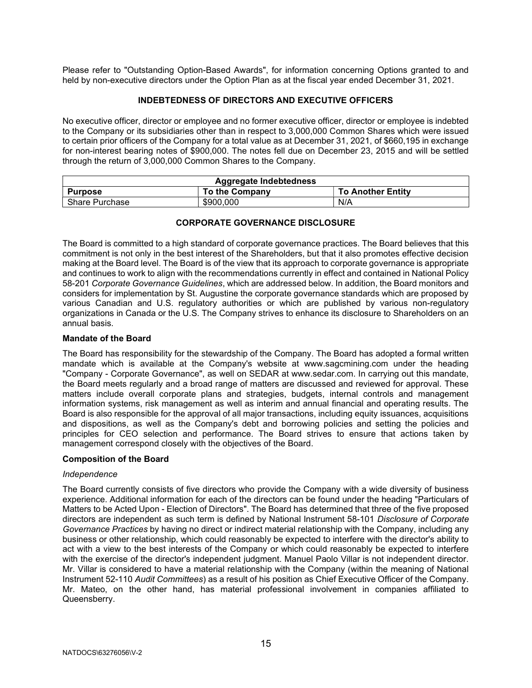Please refer to "Outstanding Option-Based Awards", for information concerning Options granted to and held by non-executive directors under the Option Plan as at the fiscal year ended December 31, 2021.

#### INDEBTEDNESS OF DIRECTORS AND EXECUTIVE OFFICERS

No executive officer, director or employee and no former executive officer, director or employee is indebted to the Company or its subsidiaries other than in respect to 3,000,000 Common Shares which were issued to certain prior officers of the Company for a total value as at December 31, 2021, of \$660,195 in exchange for non-interest bearing notes of \$900,000. The notes fell due on December 23, 2015 and will be settled through the return of 3,000,000 Common Shares to the Company.

|                | <b>Aggregate Indebtedness</b> |                          |
|----------------|-------------------------------|--------------------------|
| <b>Purpose</b> | <b>To the Company</b>         | <b>To Another Entity</b> |
| Share Purchase | \$900,000                     | N/A                      |

## CORPORATE GOVERNANCE DISCLOSURE

The Board is committed to a high standard of corporate governance practices. The Board believes that this commitment is not only in the best interest of the Shareholders, but that it also promotes effective decision making at the Board level. The Board is of the view that its approach to corporate governance is appropriate and continues to work to align with the recommendations currently in effect and contained in National Policy 58-201 Corporate Governance Guidelines, which are addressed below. In addition, the Board monitors and considers for implementation by St. Augustine the corporate governance standards which are proposed by various Canadian and U.S. regulatory authorities or which are published by various non-regulatory organizations in Canada or the U.S. The Company strives to enhance its disclosure to Shareholders on an annual basis.

#### Mandate of the Board

The Board has responsibility for the stewardship of the Company. The Board has adopted a formal written mandate which is available at the Company's website at www.sagcmining.com under the heading "Company - Corporate Governance", as well on SEDAR at www.sedar.com. In carrying out this mandate, the Board meets regularly and a broad range of matters are discussed and reviewed for approval. These matters include overall corporate plans and strategies, budgets, internal controls and management information systems, risk management as well as interim and annual financial and operating results. The Board is also responsible for the approval of all major transactions, including equity issuances, acquisitions and dispositions, as well as the Company's debt and borrowing policies and setting the policies and principles for CEO selection and performance. The Board strives to ensure that actions taken by management correspond closely with the objectives of the Board.

## Composition of the Board

#### Independence

The Board currently consists of five directors who provide the Company with a wide diversity of business experience. Additional information for each of the directors can be found under the heading "Particulars of Matters to be Acted Upon - Election of Directors". The Board has determined that three of the five proposed directors are independent as such term is defined by National Instrument 58-101 Disclosure of Corporate Governance Practices by having no direct or indirect material relationship with the Company, including any business or other relationship, which could reasonably be expected to interfere with the director's ability to act with a view to the best interests of the Company or which could reasonably be expected to interfere with the exercise of the director's independent judgment. Manuel Paolo Villar is not independent director. Mr. Villar is considered to have a material relationship with the Company (within the meaning of National Instrument 52-110 Audit Committees) as a result of his position as Chief Executive Officer of the Company. Mr. Mateo, on the other hand, has material professional involvement in companies affiliated to Queensberry.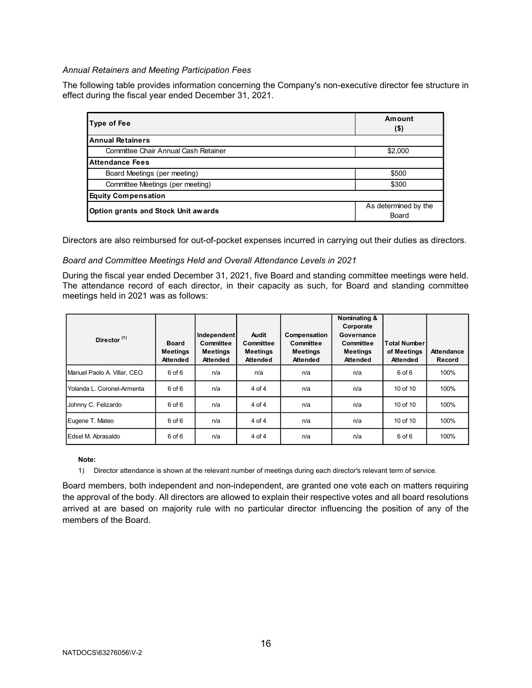### Annual Retainers and Meeting Participation Fees

The following table provides information concerning the Company's non-executive director fee structure in effect during the fiscal year ended December 31, 2021.

| al Retainers and Meeting Participation Fees                       |                                                                                                      |
|-------------------------------------------------------------------|------------------------------------------------------------------------------------------------------|
|                                                                   |                                                                                                      |
|                                                                   |                                                                                                      |
|                                                                   | ollowing table provides information concerning the Company's non-executive director fee structure in |
| during the fiscal year ended December 31, 2021.                   |                                                                                                      |
|                                                                   |                                                                                                      |
| <b>Type of Fee</b>                                                | Amount<br>$($ \$)                                                                                    |
| <b>Annual Retainers</b>                                           |                                                                                                      |
| Committee Chair Annual Cash Retainer                              | \$2,000                                                                                              |
| <b>Attendance Fees</b>                                            |                                                                                                      |
| Board Meetings (per meeting)                                      | \$500                                                                                                |
| Committee Meetings (per meeting)                                  | \$300                                                                                                |
|                                                                   |                                                                                                      |
| <b>Equity Compensation</b><br>Option grants and Stock Unit awards | As determined by the                                                                                 |

#### Board and Committee Meetings Held and Overall Attendance Levels in 2021

| <b>Attendance Fees</b>                                                                                                                                                                                                                                                                                                                                      |                                                    |                                                         |                                                                 |                                                                 |                                                                                            |                                                       |                             |  |
|-------------------------------------------------------------------------------------------------------------------------------------------------------------------------------------------------------------------------------------------------------------------------------------------------------------------------------------------------------------|----------------------------------------------------|---------------------------------------------------------|-----------------------------------------------------------------|-----------------------------------------------------------------|--------------------------------------------------------------------------------------------|-------------------------------------------------------|-----------------------------|--|
|                                                                                                                                                                                                                                                                                                                                                             | <b>Committee Chair Annual Cash Retainer</b>        |                                                         |                                                                 |                                                                 |                                                                                            | \$2,000                                               |                             |  |
|                                                                                                                                                                                                                                                                                                                                                             |                                                    |                                                         |                                                                 |                                                                 |                                                                                            |                                                       |                             |  |
| Board Meetings (per meeting)                                                                                                                                                                                                                                                                                                                                |                                                    |                                                         |                                                                 |                                                                 |                                                                                            | \$500                                                 |                             |  |
| Committee Meetings (per meeting)                                                                                                                                                                                                                                                                                                                            |                                                    |                                                         |                                                                 |                                                                 |                                                                                            | \$300                                                 |                             |  |
| <b>Equity Compensation</b>                                                                                                                                                                                                                                                                                                                                  |                                                    |                                                         |                                                                 |                                                                 |                                                                                            |                                                       |                             |  |
| Option grants and Stock Unit awards                                                                                                                                                                                                                                                                                                                         |                                                    |                                                         |                                                                 |                                                                 |                                                                                            | As determined by the<br>Board                         |                             |  |
| Board and Committee Meetings Held and Overall Attendance Levels in 2021<br>During the fiscal year ended December 31, 2021, five Board and standing committee meetings were held.<br>The attendance record of each director, in their capacity as such, for Board and standing committee<br>meetings held in 2021 was as follows:<br>Director <sup>(1)</sup> | <b>Board</b><br><b>Meetings</b><br><b>Attended</b> | Independent<br>Committee<br><b>Meetings</b><br>Attended | <b>Audit</b><br>Committee<br><b>Meetings</b><br><b>Attended</b> | Compensation<br>Committee<br><b>Meetings</b><br><b>Attended</b> | Nominating &<br>Corporate<br>Governance<br>Committee<br><b>Meetings</b><br><b>Attended</b> | <b>Total Number</b><br>of Meetings<br><b>Attended</b> | <b>Attendance</b><br>Record |  |
| Manuel Paolo A. Villar, CEO                                                                                                                                                                                                                                                                                                                                 | 6 of 6                                             | n/a                                                     | n/a                                                             | n/a                                                             | n/a                                                                                        | 6 of 6                                                | 100%                        |  |
| Yolanda L. Coronel-Armenta                                                                                                                                                                                                                                                                                                                                  | 6 of 6                                             | n/a                                                     | 4 of 4                                                          | n/a                                                             | n/a                                                                                        | 10 of 10                                              | 100%                        |  |
| Johnny C. Felizardo                                                                                                                                                                                                                                                                                                                                         | 6 of 6                                             | n/a                                                     | 4 of 4                                                          | n/a                                                             | n/a                                                                                        | 10 of 10                                              | 100%                        |  |
| Eugene T. Mateo                                                                                                                                                                                                                                                                                                                                             | 6 of 6                                             | n/a                                                     | 4 of 4                                                          | n/a                                                             | n/a                                                                                        | 10 of 10                                              | 100%                        |  |
|                                                                                                                                                                                                                                                                                                                                                             | 6 of 6                                             | n/a                                                     | 4 of 4                                                          | n/a                                                             | n/a                                                                                        | 6 of 6                                                | 100%                        |  |

#### Note:

Board members, both independent and non-independent, are granted one vote each on matters requiring the approval of the body. All directors are allowed to explain their respective votes and all board resolutions arrived at are based on majority rule with no particular director influencing the position of any of the members of the Board.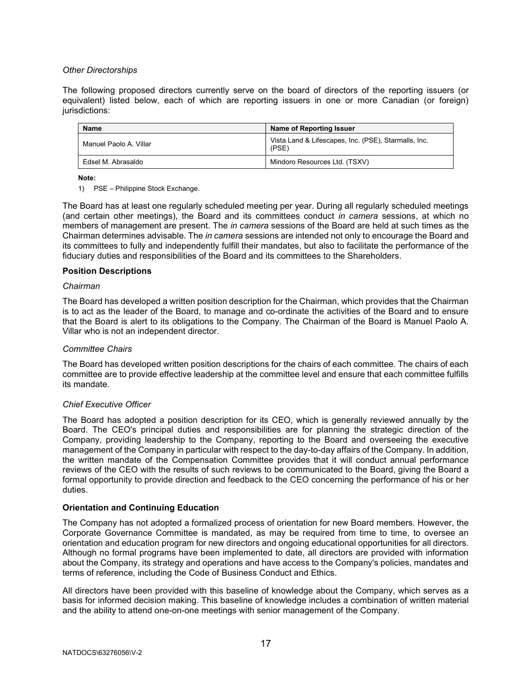## Other Directorships

The following proposed directors currently serve on the board of directors of the reporting issuers (or equivalent) listed below, each of which are reporting issuers in one or more Canadian (or foreign) jurisdictions:

| Name                   | Name of Reporting Issuer                                      |
|------------------------|---------------------------------------------------------------|
| Manuel Paolo A. Villar | Vista Land & Lifescapes, Inc. (PSE), Starmalls, Inc.<br>(PSE) |
| Edsel M. Abrasaldo     | Mindoro Resources Ltd. (TSXV)                                 |

Note:

1) PSE – Philippine Stock Exchange.

The Board has at least one regularly scheduled meeting per year. During all regularly scheduled meetings (and certain other meetings), the Board and its committees conduct in camera sessions, at which no members of management are present. The in camera sessions of the Board are held at such times as the Chairman determines advisable. The in camera sessions are intended not only to encourage the Board and its committees to fully and independently fulfill their mandates, but also to facilitate the performance of the fiduciary duties and responsibilities of the Board and its committees to the Shareholders.

## Position Descriptions

## Chairman

The Board has developed a written position description for the Chairman, which provides that the Chairman is to act as the leader of the Board, to manage and co-ordinate the activities of the Board and to ensure that the Board is alert to its obligations to the Company. The Chairman of the Board is Manuel Paolo A. Villar who is not an independent director.

## Committee Chairs

The Board has developed written position descriptions for the chairs of each committee. The chairs of each committee are to provide effective leadership at the committee level and ensure that each committee fulfills its mandate.

## Chief Executive Officer

The Board has adopted a position description for its CEO, which is generally reviewed annually by the Board. The CEO's principal duties and responsibilities are for planning the strategic direction of the Company, providing leadership to the Company, reporting to the Board and overseeing the executive management of the Company in particular with respect to the day-to-day affairs of the Company. In addition, the written mandate of the Compensation Committee provides that it will conduct annual performance reviews of the CEO with the results of such reviews to be communicated to the Board, giving the Board a formal opportunity to provide direction and feedback to the CEO concerning the performance of his or her duties.

## Orientation and Continuing Education

The Company has not adopted a formalized process of orientation for new Board members. However, the Corporate Governance Committee is mandated, as may be required from time to time, to oversee an orientation and education program for new directors and ongoing educational opportunities for all directors. Although no formal programs have been implemented to date, all directors are provided with information about the Company, its strategy and operations and have access to the Company's policies, mandates and terms of reference, including the Code of Business Conduct and Ethics.

All directors have been provided with this baseline of knowledge about the Company, which serves as a basis for informed decision making. This baseline of knowledge includes a combination of written material and the ability to attend one-on-one meetings with senior management of the Company.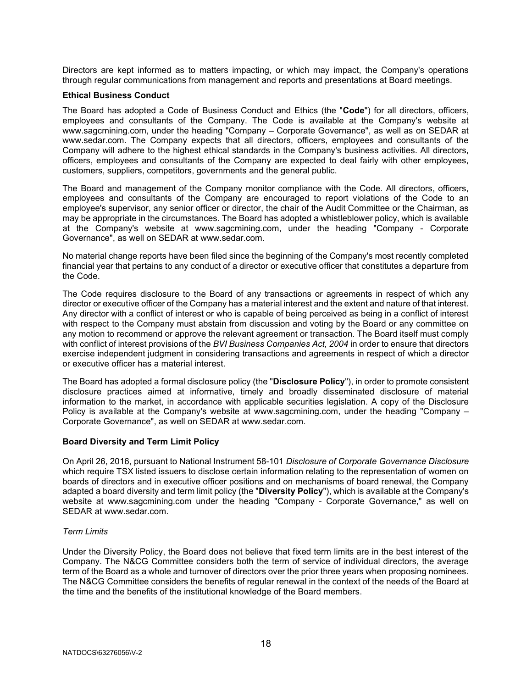Directors are kept informed as to matters impacting, or which may impact, the Company's operations through regular communications from management and reports and presentations at Board meetings.

#### Ethical Business Conduct

The Board has adopted a Code of Business Conduct and Ethics (the "Code") for all directors, officers, employees and consultants of the Company. The Code is available at the Company's website at www.sagcmining.com, under the heading "Company – Corporate Governance", as well as on SEDAR at www.sedar.com. The Company expects that all directors, officers, employees and consultants of the Company will adhere to the highest ethical standards in the Company's business activities. All directors, officers, employees and consultants of the Company are expected to deal fairly with other employees, customers, suppliers, competitors, governments and the general public.

The Board and management of the Company monitor compliance with the Code. All directors, officers, employees and consultants of the Company are encouraged to report violations of the Code to an employee's supervisor, any senior officer or director, the chair of the Audit Committee or the Chairman, as may be appropriate in the circumstances. The Board has adopted a whistleblower policy, which is available at the Company's website at www.sagcmining.com, under the heading "Company - Corporate Governance", as well on SEDAR at www.sedar.com.

No material change reports have been filed since the beginning of the Company's most recently completed financial year that pertains to any conduct of a director or executive officer that constitutes a departure from the Code.

The Code requires disclosure to the Board of any transactions or agreements in respect of which any director or executive officer of the Company has a material interest and the extent and nature of that interest. Any director with a conflict of interest or who is capable of being perceived as being in a conflict of interest with respect to the Company must abstain from discussion and voting by the Board or any committee on any motion to recommend or approve the relevant agreement or transaction. The Board itself must comply with conflict of interest provisions of the BVI Business Companies Act, 2004 in order to ensure that directors exercise independent judgment in considering transactions and agreements in respect of which a director or executive officer has a material interest.

The Board has adopted a formal disclosure policy (the "Disclosure Policy"), in order to promote consistent disclosure practices aimed at informative, timely and broadly disseminated disclosure of material information to the market, in accordance with applicable securities legislation. A copy of the Disclosure Policy is available at the Company's website at www.sagcmining.com, under the heading "Company – Corporate Governance", as well on SEDAR at www.sedar.com.

## Board Diversity and Term Limit Policy

On April 26, 2016, pursuant to National Instrument 58-101 Disclosure of Corporate Governance Disclosure which require TSX listed issuers to disclose certain information relating to the representation of women on boards of directors and in executive officer positions and on mechanisms of board renewal, the Company adapted a board diversity and term limit policy (the "Diversity Policy"), which is available at the Company's website at www.sagcmining.com under the heading "Company - Corporate Governance," as well on SEDAR at www.sedar.com.

## Term Limits

Under the Diversity Policy, the Board does not believe that fixed term limits are in the best interest of the Company. The N&CG Committee considers both the term of service of individual directors, the average term of the Board as a whole and turnover of directors over the prior three years when proposing nominees. The N&CG Committee considers the benefits of regular renewal in the context of the needs of the Board at the time and the benefits of the institutional knowledge of the Board members.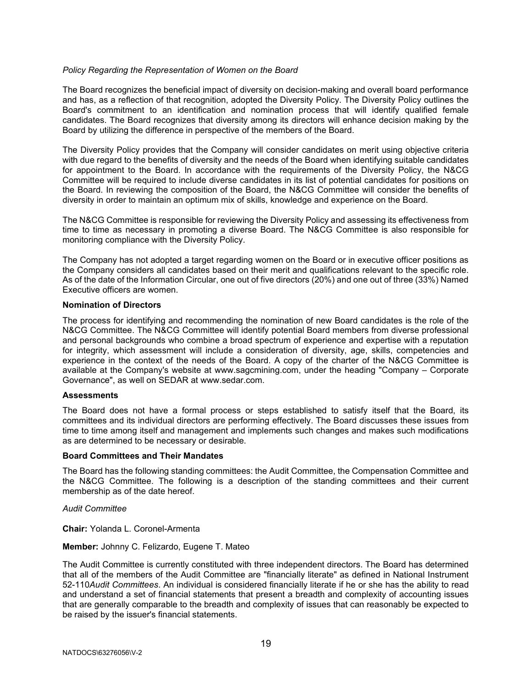## Policy Regarding the Representation of Women on the Board

The Board recognizes the beneficial impact of diversity on decision-making and overall board performance and has, as a reflection of that recognition, adopted the Diversity Policy. The Diversity Policy outlines the Board's commitment to an identification and nomination process that will identify qualified female candidates. The Board recognizes that diversity among its directors will enhance decision making by the Board by utilizing the difference in perspective of the members of the Board.

The Diversity Policy provides that the Company will consider candidates on merit using objective criteria with due regard to the benefits of diversity and the needs of the Board when identifying suitable candidates for appointment to the Board. In accordance with the requirements of the Diversity Policy, the N&CG Committee will be required to include diverse candidates in its list of potential candidates for positions on the Board. In reviewing the composition of the Board, the N&CG Committee will consider the benefits of diversity in order to maintain an optimum mix of skills, knowledge and experience on the Board.

The N&CG Committee is responsible for reviewing the Diversity Policy and assessing its effectiveness from time to time as necessary in promoting a diverse Board. The N&CG Committee is also responsible for monitoring compliance with the Diversity Policy.

The Company has not adopted a target regarding women on the Board or in executive officer positions as the Company considers all candidates based on their merit and qualifications relevant to the specific role. As of the date of the Information Circular, one out of five directors (20%) and one out of three (33%) Named Executive officers are women.

#### Nomination of Directors

The process for identifying and recommending the nomination of new Board candidates is the role of the N&CG Committee. The N&CG Committee will identify potential Board members from diverse professional and personal backgrounds who combine a broad spectrum of experience and expertise with a reputation for integrity, which assessment will include a consideration of diversity, age, skills, competencies and experience in the context of the needs of the Board. A copy of the charter of the N&CG Committee is available at the Company's website at www.sagcmining.com, under the heading "Company – Corporate Governance", as well on SEDAR at www.sedar.com.

#### **Assessments**

The Board does not have a formal process or steps established to satisfy itself that the Board, its committees and its individual directors are performing effectively. The Board discusses these issues from time to time among itself and management and implements such changes and makes such modifications as are determined to be necessary or desirable.

#### Board Committees and Their Mandates

The Board has the following standing committees: the Audit Committee, the Compensation Committee and the N&CG Committee. The following is a description of the standing committees and their current membership as of the date hereof.

## Audit Committee

Chair: Yolanda L. Coronel-Armenta

## Member: Johnny C. Felizardo, Eugene T. Mateo

The Audit Committee is currently constituted with three independent directors. The Board has determined that all of the members of the Audit Committee are "financially literate" as defined in National Instrument 52-110Audit Committees. An individual is considered financially literate if he or she has the ability to read and understand a set of financial statements that present a breadth and complexity of accounting issues that are generally comparable to the breadth and complexity of issues that can reasonably be expected to be raised by the issuer's financial statements.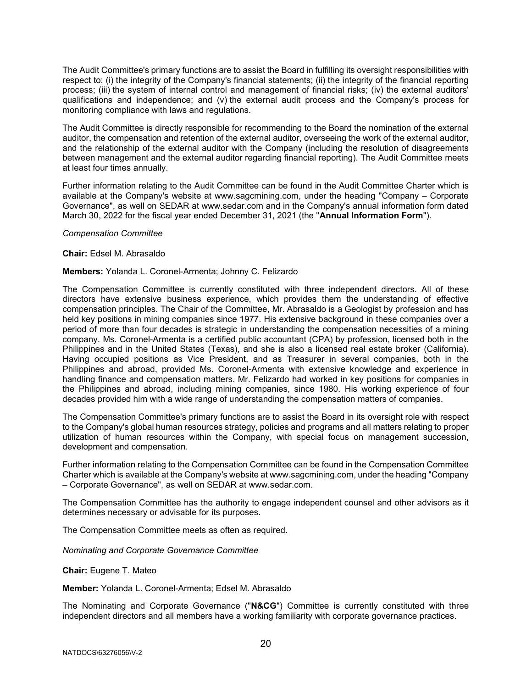The Audit Committee's primary functions are to assist the Board in fulfilling its oversight responsibilities with respect to: (i) the integrity of the Company's financial statements; (ii) the integrity of the financial reporting process; (iii) the system of internal control and management of financial risks; (iv) the external auditors' qualifications and independence; and (v) the external audit process and the Company's process for monitoring compliance with laws and regulations.

The Audit Committee is directly responsible for recommending to the Board the nomination of the external auditor, the compensation and retention of the external auditor, overseeing the work of the external auditor, and the relationship of the external auditor with the Company (including the resolution of disagreements between management and the external auditor regarding financial reporting). The Audit Committee meets at least four times annually.

Further information relating to the Audit Committee can be found in the Audit Committee Charter which is available at the Company's website at www.sagcmining.com, under the heading "Company – Corporate Governance", as well on SEDAR at www.sedar.com and in the Company's annual information form dated March 30, 2022 for the fiscal year ended December 31, 2021 (the "Annual Information Form").

#### Compensation Committee

#### Chair: Edsel M. Abrasaldo

#### Members: Yolanda L. Coronel-Armenta; Johnny C. Felizardo

The Compensation Committee is currently constituted with three independent directors. All of these directors have extensive business experience, which provides them the understanding of effective compensation principles. The Chair of the Committee, Mr. Abrasaldo is a Geologist by profession and has held key positions in mining companies since 1977. His extensive background in these companies over a period of more than four decades is strategic in understanding the compensation necessities of a mining company. Ms. Coronel-Armenta is a certified public accountant (CPA) by profession, licensed both in the Philippines and in the United States (Texas), and she is also a licensed real estate broker (California). Having occupied positions as Vice President, and as Treasurer in several companies, both in the Philippines and abroad, provided Ms. Coronel-Armenta with extensive knowledge and experience in handling finance and compensation matters. Mr. Felizardo had worked in key positions for companies in the Philippines and abroad, including mining companies, since 1980. His working experience of four decades provided him with a wide range of understanding the compensation matters of companies.

The Compensation Committee's primary functions are to assist the Board in its oversight role with respect to the Company's global human resources strategy, policies and programs and all matters relating to proper utilization of human resources within the Company, with special focus on management succession, development and compensation.

Further information relating to the Compensation Committee can be found in the Compensation Committee Charter which is available at the Company's website at www.sagcmining.com, under the heading "Company – Corporate Governance", as well on SEDAR at www.sedar.com.

The Compensation Committee has the authority to engage independent counsel and other advisors as it determines necessary or advisable for its purposes.

The Compensation Committee meets as often as required.

Nominating and Corporate Governance Committee

Chair: Eugene T. Mateo

Member: Yolanda L. Coronel-Armenta; Edsel M. Abrasaldo

The Nominating and Corporate Governance ("N&CG") Committee is currently constituted with three independent directors and all members have a working familiarity with corporate governance practices.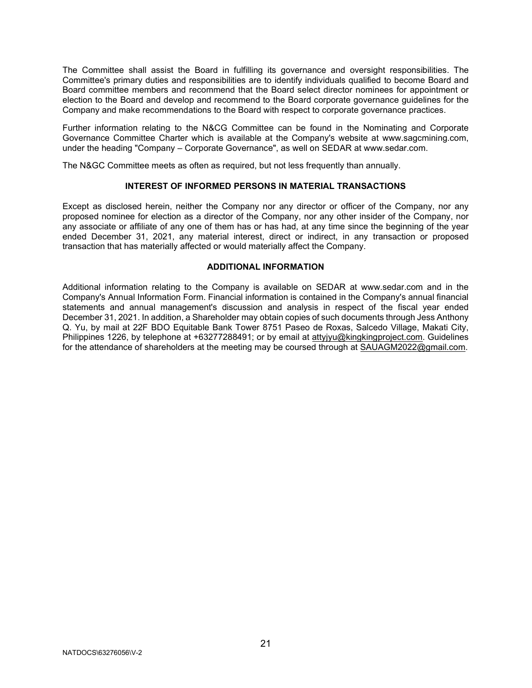The Committee shall assist the Board in fulfilling its governance and oversight responsibilities. The Committee's primary duties and responsibilities are to identify individuals qualified to become Board and Board committee members and recommend that the Board select director nominees for appointment or election to the Board and develop and recommend to the Board corporate governance guidelines for the Company and make recommendations to the Board with respect to corporate governance practices.

Further information relating to the N&CG Committee can be found in the Nominating and Corporate Governance Committee Charter which is available at the Company's website at www.sagcmining.com, under the heading "Company – Corporate Governance", as well on SEDAR at www.sedar.com.

The N&GC Committee meets as often as required, but not less frequently than annually.

## INTEREST OF INFORMED PERSONS IN MATERIAL TRANSACTIONS

Except as disclosed herein, neither the Company nor any director or officer of the Company, nor any proposed nominee for election as a director of the Company, nor any other insider of the Company, nor any associate or affiliate of any one of them has or has had, at any time since the beginning of the year ended December 31, 2021, any material interest, direct or indirect, in any transaction or proposed transaction that has materially affected or would materially affect the Company.

#### ADDITIONAL INFORMATION

Additional information relating to the Company is available on SEDAR at www.sedar.com and in the Company's Annual Information Form. Financial information is contained in the Company's annual financial statements and annual management's discussion and analysis in respect of the fiscal year ended December 31, 2021. In addition, a Shareholder may obtain copies of such documents through Jess Anthony Q. Yu, by mail at 22F BDO Equitable Bank Tower 8751 Paseo de Roxas, Salcedo Village, Makati City, Philippines 1226, by telephone at +63277288491; or by email at attyjyu@kingkingproject.com. Guidelines for the attendance of shareholders at the meeting may be coursed through at SAUAGM2022@gmail.com.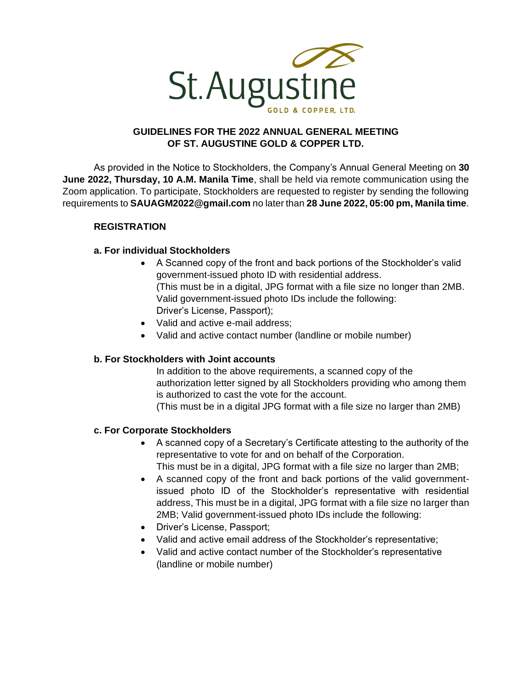

## **GUIDELINES FOR THE 2022 ANNUAL GENERAL MEETING OF ST. AUGUSTINE GOLD & COPPER LTD.**

As provided in the Notice to Stockholders, the Company's Annual General Meeting on **30 June 2022, Thursday, 10 A.M. Manila Time**, shall be held via remote communication using the Zoom application. To participate, Stockholders are requested to register by sending the following requirements to **[SAUAGM2022@gmail.com](mailto:SAUAGM2022@gmail.com)** no later than **28 June 2022, 05:00 pm, Manila time**.

## **REGISTRATION**

## **a. For individual Stockholders**

- A Scanned copy of the front and back portions of the Stockholder's valid government-issued photo ID with residential address. (This must be in a digital, JPG format with a file size no longer than 2MB. Valid government-issued photo IDs include the following: Driver's License, Passport);
- Valid and active e-mail address;
- Valid and active contact number (landline or mobile number)

## **b. For Stockholders with Joint accounts**

In addition to the above requirements, a scanned copy of the authorization letter signed by all Stockholders providing who among them is authorized to cast the vote for the account. (This must be in a digital JPG format with a file size no larger than 2MB)

## **c. For Corporate Stockholders**

- A scanned copy of a Secretary's Certificate attesting to the authority of the representative to vote for and on behalf of the Corporation. This must be in a digital, JPG format with a file size no larger than 2MB;
- A scanned copy of the front and back portions of the valid governmentissued photo ID of the Stockholder's representative with residential address, This must be in a digital, JPG format with a file size no larger than 2MB; Valid government-issued photo IDs include the following:
- Driver's License, Passport;
- Valid and active email address of the Stockholder's representative;
- Valid and active contact number of the Stockholder's representative (landline or mobile number)